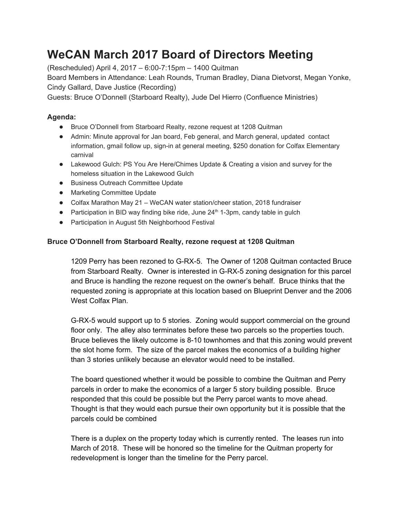# **WeCAN March 2017 Board of Directors Meeting**

(Rescheduled) April 4, 2017 – 6:00-7:15pm – 1400 Quitman

Board Members in Attendance: Leah Rounds, Truman Bradley, Diana Dietvorst, Megan Yonke, Cindy Gallard, Dave Justice (Recording)

Guests: Bruce O'Donnell (Starboard Realty), Jude Del Hierro (Confluence Ministries)

## **Agenda:**

- Bruce O'Donnell from Starboard Realty, rezone request at 1208 Quitman
- Admin: Minute approval for Jan board, Feb general, and March general, updated contact information, gmail follow up, sign-in at general meeting, \$250 donation for Colfax Elementary carnival
- Lakewood Gulch: PS You Are Here/Chimes Update & Creating a vision and survey for the homeless situation in the Lakewood Gulch
- Business Outreach Committee Update
- Marketing Committee Update
- Colfax Marathon May 21 WeCAN water station/cheer station, 2018 fundraiser
- Participation in BID way finding bike ride, June 24<sup>th</sup> 1-3pm, candy table in gulch
- Participation in August 5th Neighborhood Festival

## **Bruce O'Donnell from Starboard Realty, rezone request at 1208 Quitman**

1209 Perry has been rezoned to G-RX-5. The Owner of 1208 Quitman contacted Bruce from Starboard Realty. Owner is interested in G-RX-5 zoning designation for this parcel and Bruce is handling the rezone request on the owner's behalf. Bruce thinks that the requested zoning is appropriate at this location based on Blueprint Denver and the 2006 West Colfax Plan.

G-RX-5 would support up to 5 stories. Zoning would support commercial on the ground floor only. The alley also terminates before these two parcels so the properties touch. Bruce believes the likely outcome is 8-10 townhomes and that this zoning would prevent the slot home form. The size of the parcel makes the economics of a building higher than 3 stories unlikely because an elevator would need to be installed.

The board questioned whether it would be possible to combine the Quitman and Perry parcels in order to make the economics of a larger 5 story building possible. Bruce responded that this could be possible but the Perry parcel wants to move ahead. Thought is that they would each pursue their own opportunity but it is possible that the parcels could be combined

There is a duplex on the property today which is currently rented. The leases run into March of 2018. These will be honored so the timeline for the Quitman property for redevelopment is longer than the timeline for the Perry parcel.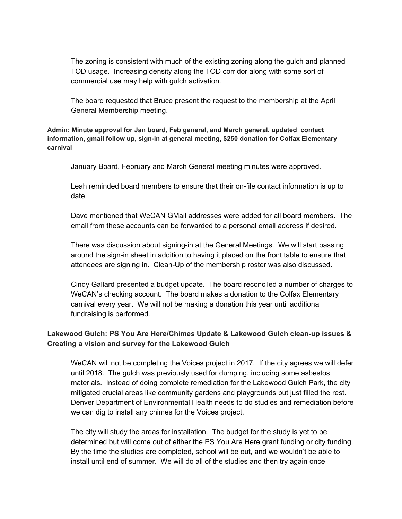The zoning is consistent with much of the existing zoning along the gulch and planned TOD usage. Increasing density along the TOD corridor along with some sort of commercial use may help with gulch activation.

The board requested that Bruce present the request to the membership at the April General Membership meeting.

**Admin: Minute approval for Jan board, Feb general, and March general, updated contact information, gmail follow up, sign-in at general meeting, \$250 donation for Colfax Elementary carnival**

January Board, February and March General meeting minutes were approved.

Leah reminded board members to ensure that their on-file contact information is up to date.

Dave mentioned that WeCAN GMail addresses were added for all board members. The email from these accounts can be forwarded to a personal email address if desired.

There was discussion about signing-in at the General Meetings. We will start passing around the sign-in sheet in addition to having it placed on the front table to ensure that attendees are signing in. Clean-Up of the membership roster was also discussed.

Cindy Gallard presented a budget update. The board reconciled a number of charges to WeCAN's checking account. The board makes a donation to the Colfax Elementary carnival every year. We will not be making a donation this year until additional fundraising is performed.

## **Lakewood Gulch: PS You Are Here/Chimes Update & Lakewood Gulch clean-up issues & Creating a vision and survey for the Lakewood Gulch**

WeCAN will not be completing the Voices project in 2017. If the city agrees we will defer until 2018. The gulch was previously used for dumping, including some asbestos materials. Instead of doing complete remediation for the Lakewood Gulch Park, the city mitigated crucial areas like community gardens and playgrounds but just filled the rest. Denver Department of Environmental Health needs to do studies and remediation before we can dig to install any chimes for the Voices project.

The city will study the areas for installation. The budget for the study is yet to be determined but will come out of either the PS You Are Here grant funding or city funding. By the time the studies are completed, school will be out, and we wouldn't be able to install until end of summer. We will do all of the studies and then try again once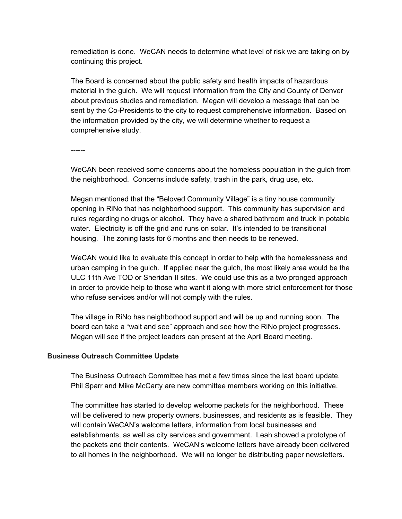remediation is done. WeCAN needs to determine what level of risk we are taking on by continuing this project.

The Board is concerned about the public safety and health impacts of hazardous material in the gulch. We will request information from the City and County of Denver about previous studies and remediation. Megan will develop a message that can be sent by the Co-Presidents to the city to request comprehensive information. Based on the information provided by the city, we will determine whether to request a comprehensive study.

------

WeCAN been received some concerns about the homeless population in the gulch from the neighborhood. Concerns include safety, trash in the park, drug use, etc.

Megan mentioned that the "Beloved Community Village" is a tiny house community opening in RiNo that has neighborhood support. This community has supervision and rules regarding no drugs or alcohol. They have a shared bathroom and truck in potable water. Electricity is off the grid and runs on solar. It's intended to be transitional housing. The zoning lasts for 6 months and then needs to be renewed.

WeCAN would like to evaluate this concept in order to help with the homelessness and urban camping in the gulch. If applied near the gulch, the most likely area would be the ULC 11th Ave TOD or Sheridan II sites. We could use this as a two pronged approach in order to provide help to those who want it along with more strict enforcement for those who refuse services and/or will not comply with the rules.

The village in RiNo has neighborhood support and will be up and running soon. The board can take a "wait and see" approach and see how the RiNo project progresses. Megan will see if the project leaders can present at the April Board meeting.

### **Business Outreach Committee Update**

The Business Outreach Committee has met a few times since the last board update. Phil Sparr and Mike McCarty are new committee members working on this initiative.

The committee has started to develop welcome packets for the neighborhood. These will be delivered to new property owners, businesses, and residents as is feasible. They will contain WeCAN's welcome letters, information from local businesses and establishments, as well as city services and government. Leah showed a prototype of the packets and their contents. WeCAN's welcome letters have already been delivered to all homes in the neighborhood. We will no longer be distributing paper newsletters.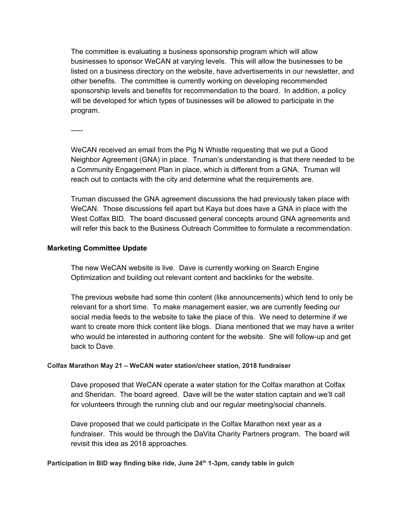The committee is evaluating a business sponsorship program which will allow businesses to sponsor WeCAN at varying levels. This will allow the businesses to be listed on a business directory on the website, have advertisements in our newsletter, and other benefits. The committee is currently working on developing recommended sponsorship levels and benefits for recommendation to the board. In addition, a policy will be developed for which types of businesses will be allowed to participate in the program.

-----

WeCAN received an email from the Pig N Whistle requesting that we put a Good Neighbor Agreement (GNA) in place. Truman's understanding is that there needed to be a Community Engagement Plan in place, which is different from a GNA. Truman will reach out to contacts with the city and determine what the requirements are.

Truman discussed the GNA agreement discussions the had previously taken place with WeCAN. Those discussions fell apart but Kaya but does have a GNA in place with the West Colfax BID. The board discussed general concepts around GNA agreements and will refer this back to the Business Outreach Committee to formulate a recommendation.

#### **Marketing Committee Update**

The new WeCAN website is live. Dave is currently working on Search Engine Optimization and building out relevant content and backlinks for the website.

The previous website had some thin content (like announcements) which tend to only be relevant for a short time. To make management easier, we are currently feeding our social media feeds to the website to take the place of this. We need to determine if we want to create more thick content like blogs. Diana mentioned that we may have a writer who would be interested in authoring content for the website. She will follow-up and get back to Dave.

#### **Colfax Marathon May 21 – WeCAN water station/cheer station, 2018 fundraiser**

Dave proposed that WeCAN operate a water station for the Colfax marathon at Colfax and Sheridan. The board agreed. Dave will be the water station captain and we'll call for volunteers through the running club and our regular meeting/social channels.

Dave proposed that we could participate in the Colfax Marathon next year as a fundraiser. This would be through the DaVita Charity Partners program. The board will revisit this idea as 2018 approaches.

**Participation in BID way finding bike ride, June 24 th 1-3pm, candy table in gulch**